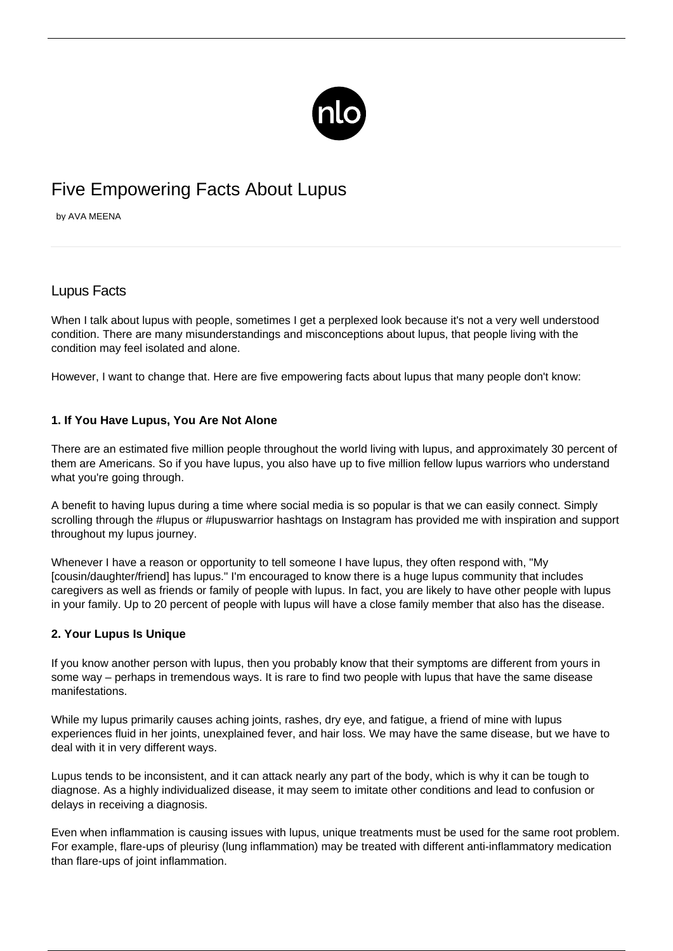

# Five Empowering Facts About Lupus

by AVA MEENA

## Lupus Facts

When I talk about lupus with people, sometimes I get a perplexed look because it's not a very well understood condition. There are many misunderstandings and [misconceptions about lupus,](/is-lupus-contagious/) that people living with the condition may feel isolated and alone.

However, I want to change that. Here are five empowering facts about lupus that many people don't know:

#### **1. If You Have Lupus, You Are Not Alone**

There are an estimated five million people throughout the world living with lupus, and approximately 30 percent of them are Americans. So if you have lupus, you also have up to five million fellow lupus warriors who understand what you're going through.

A benefit to having lupus during a time where social media is so popular is that we can easily connect. Simply scrolling through the #lupus or #lupuswarrior hashtags on Instagram has provided me with inspiration and support throughout my lupus journey.

Whenever I have a reason or opportunity to tell someone I have lupus, they often respond with, "My [cousin/daughter/friend] has lupus." I'm encouraged to know there is a huge lupus community that includes caregivers as well as friends or family of people with lupus. In fact, you are likely to have other people with lupus in your family. Up to 20 percent of people with lupus will have a close family member that also has the disease.

#### **2. Your Lupus Is Unique**

If you know another person with lupus, then you probably know that their symptoms are different from yours in some way – perhaps in tremendous ways. It is rare to find two people with lupus that have the same disease manifestations.

While my lupus primarily causes aching joints, rashes, dry eye, and fatigue, a friend of mine with lupus experiences fluid in her joints, unexplained fever, and hair loss. We may have the same disease, but we have to deal with it in very different ways.

Lupus tends to be inconsistent, and it can attack nearly any part of the body, which is why it can be tough to diagnose. As a highly individualized disease, it may seem to imitate other conditions and lead to confusion or delays in receiving a diagnosis.

Even when inflammation is causing issues with lupus, unique treatments must be used for the same root problem. For example, flare-ups of pleurisy (lung inflammation) may be treated with different anti-inflammatory medication than flare-ups of joint inflammation.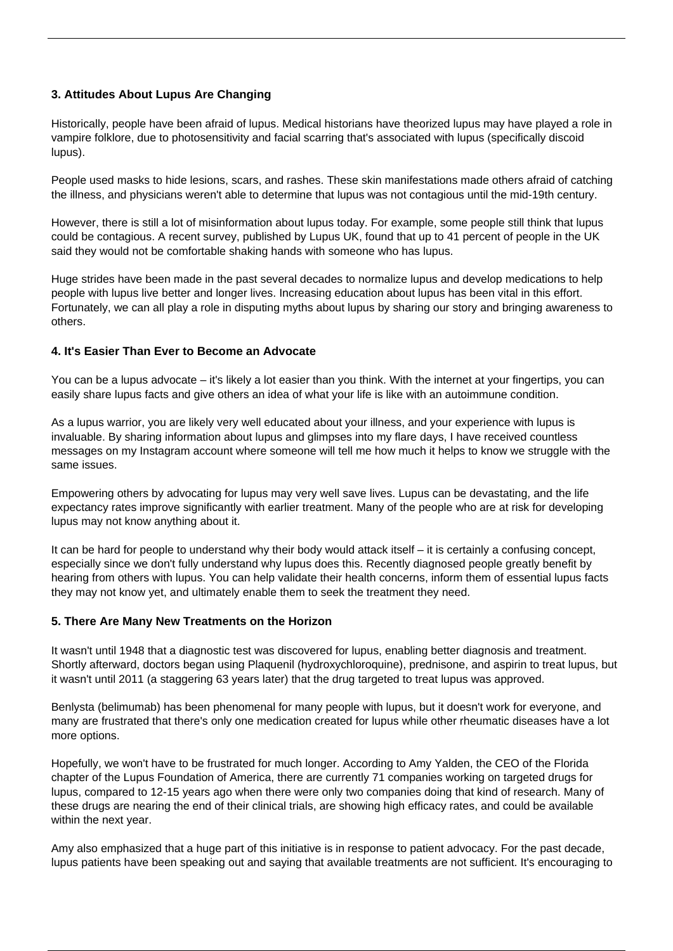### **3. Attitudes About Lupus Are Changing**

Historically, people have been afraid of lupus. Medical historians have theorized lupus may have played a role in vampire folklore, due to photosensitivity and facial scarring that's associated with lupus (specifically discoid lupus).

People used masks to hide lesions, scars, and rashes. These skin manifestations made others afraid of catching the illness, and physicians weren't able to determine that lupus was not contagious until the mid-19th century.

However, there is still a lot of misinformation about lupus today. For example, some people still think that lupus could be contagious. A recent survey, published by Lupus UK, found that up to 41 percent of people in the UK said they would not be comfortable shaking hands with someone who has lupus.

Huge strides have been made in the past several decades to normalize lupus and develop medications to help people with lupus live better and longer lives. Increasing education about lupus has been vital in this effort. Fortunately, we can all play a role in disputing myths about lupus by sharing our story and bringing awareness to others.

#### **4. It's Easier Than Ever to Become an Advocate**

You can be a lupus advocate – it's likely a lot easier than you think. With the internet at your fingertips, you can easily share lupus facts and give others an idea of what your life is like with an autoimmune condition.

As a lupus warrior, you are likely very well educated about your illness, and your experience with lupus is invaluable. By sharing information about lupus and glimpses into my flare days, I have received countless messages on [my Instagram account](https://www.instagram.com/mymeenalife/) where someone will tell me how much it helps to know we struggle with the same issues.

Empowering others by advocating for lupus may very well save lives. Lupus can be devastating, and the life expectancy rates improve significantly with earlier treatment. Many of the people who are at risk for developing lupus may not know anything about it.

It can be hard for people to understand why their body would attack itself – it is certainly a confusing concept, especially since we don't fully understand why lupus does this. Recently diagnosed people greatly benefit by hearing from others with lupus. You can help validate their health concerns, inform them of essential lupus facts they may not know yet, and ultimately enable them to seek the treatment they need.

#### **5. There Are Many New Treatments on the Horizon**

It wasn't until 1948 that a diagnostic test was discovered for lupus, enabling better diagnosis and treatment. Shortly afterward, doctors began using Plaquenil (hydroxychloroquine), prednisone, and aspirin to treat lupus, but it wasn't until 2011 (a staggering 63 years later) that the drug targeted to treat lupus was approved.

Benlysta (belimumab) has been phenomenal for many people with lupus, but it doesn't work for everyone, and many are frustrated that there's only one medication created for lupus while other rheumatic diseases have a lot more options.

Hopefully, we won't have to be frustrated for much longer. According to Amy Yalden, the CEO of the Florida chapter of the Lupus Foundation of America, there are currently 71 companies working on targeted drugs for lupus, compared to 12-15 years ago when there were only two companies doing that kind of research. Many of these drugs are nearing the end of their clinical trials, are showing high efficacy rates, and could be available within the next year.

Amy also emphasized that a huge part of this initiative is in response to patient advocacy. For the past decade, lupus patients have been speaking out and saying that available treatments are not sufficient. It's encouraging to